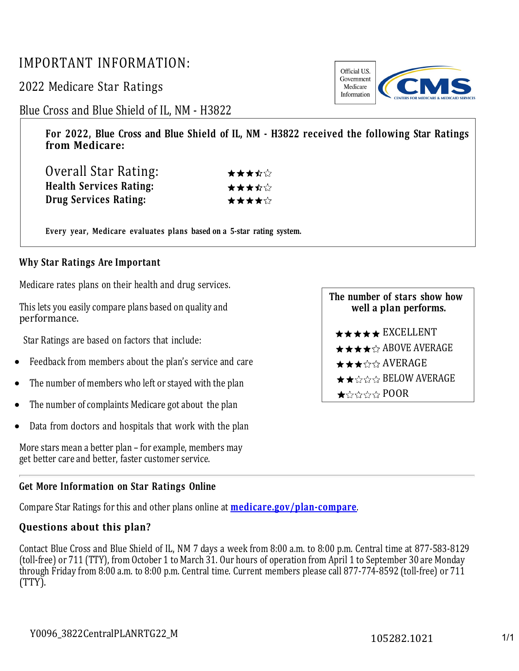# IMPORTANT INFORMATION:

2022 Medicare Star Ratings

# Blue Cross and Blue Shield of IL, NM - H3822

**For 2022, Blue Cross and Blue Shield of IL, NM - H3822 received the following Star Ratings from Medicare:**

| Overall Star Rating:           | ★★★☆☆ |
|--------------------------------|-------|
| <b>Health Services Rating:</b> | ★★★☆☆ |
| Drug Services Rating:          | ★★★★☆ |

**Every year, Medicare evaluates plans based on a 5-star rating system.**

## **Why Star Ratings Are Important**

Medicare rates plans on their health and drug services.

This lets you easily compare plans based on quality and performance.

Star Ratings are based on factors that include:

- Feedback from members about the plan's service and care
- The number of members who left or stayed with the plan
- The number of complaints Medicare got about the plan
- Data from doctors and hospitals that work with the plan

More stars mean a better plan – for example, members may get better care and better, faster customer service.

#### **Get More Information on Star Ratings Online**

Compare Star Ratings for this and other plans online at **[medicare.gov/plan-compare](http://www.medicare.gov/plan-compare/)**.

### **Questions about this plan?**

Contact Blue Cross and Blue Shield of IL, NM 7 days a week from 8:00 a.m. to 8:00 p.m. Central time at 877-583-8129 (toll-free) or 711 (TTY), from October 1 to March 31. Our hours of operation from April 1 to September 30 are Monday through Friday from 8:00 a.m. to 8:00 p.m. Central time. Current members please call 877-774-8592 (toll-free) or 711 (TTY).